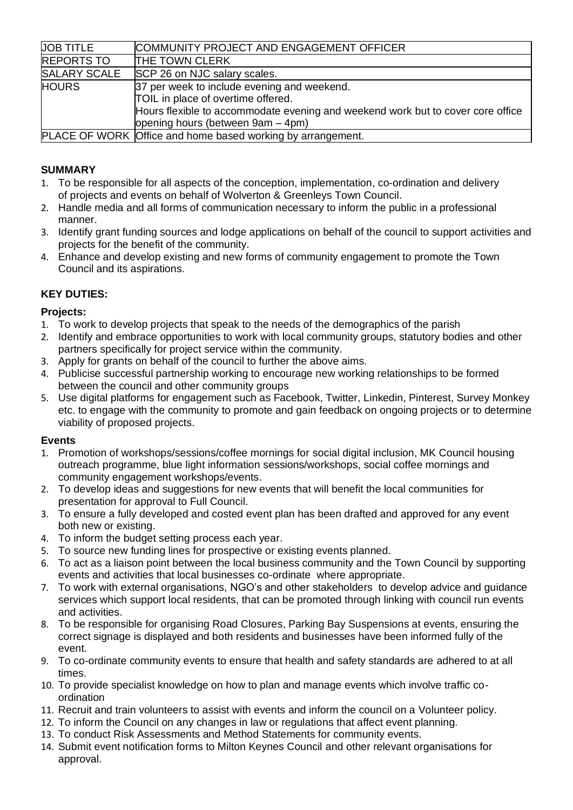| <b>UOB TITLE</b>    | COMMUNITY PROJECT AND ENGAGEMENT OFFICER                                        |
|---------------------|---------------------------------------------------------------------------------|
| <b>REPORTS TO</b>   | <b>THE TOWN CLERK</b>                                                           |
| <b>SALARY SCALE</b> | SCP 26 on NJC salary scales.                                                    |
| <b>HOURS</b>        | 37 per week to include evening and weekend.                                     |
|                     | TOIL in place of overtime offered.                                              |
|                     | Hours flexible to accommodate evening and weekend work but to cover core office |
|                     | opening hours (between 9am – 4pm)                                               |
|                     | <b>PLACE OF WORK Office and home based working by arrangement.</b>              |

# **SUMMARY**

- 1. To be responsible for all aspects of the conception, implementation, co-ordination and delivery of projects and events on behalf of Wolverton & Greenleys Town Council.
- 2. Handle media and all forms of communication necessary to inform the public in a professional manner.
- 3. Identify grant funding sources and lodge applications on behalf of the council to support activities and projects for the benefit of the community.
- 4. Enhance and develop existing and new forms of community engagement to promote the Town Council and its aspirations.

## **KEY DUTIES:**

## **Projects:**

- 1. To work to develop projects that speak to the needs of the demographics of the parish
- 2. Identify and embrace opportunities to work with local community groups, statutory bodies and other partners specifically for project service within the community.
- 3. Apply for grants on behalf of the council to further the above aims.
- 4. Publicise successful partnership working to encourage new working relationships to be formed between the council and other community groups
- 5. Use digital platforms for engagement such as Facebook, Twitter, Linkedin, Pinterest, Survey Monkey etc. to engage with the community to promote and gain feedback on ongoing projects or to determine viability of proposed projects.

#### **Events**

- 1. Promotion of workshops/sessions/coffee mornings for social digital inclusion, MK Council housing outreach programme, blue light information sessions/workshops, social coffee mornings and community engagement workshops/events.
- 2. To develop ideas and suggestions for new events that will benefit the local communities for presentation for approval to Full Council.
- 3. To ensure a fully developed and costed event plan has been drafted and approved for any event both new or existing.
- 4. To inform the budget setting process each year.
- 5. To source new funding lines for prospective or existing events planned.
- 6. To act as a liaison point between the local business community and the Town Council by supporting events and activities that local businesses co-ordinate where appropriate.
- 7. To work with external organisations, NGO's and other stakeholders to develop advice and guidance services which support local residents, that can be promoted through linking with council run events and activities.
- 8. To be responsible for organising Road Closures, Parking Bay Suspensions at events, ensuring the correct signage is displayed and both residents and businesses have been informed fully of the event.
- 9. To co-ordinate community events to ensure that health and safety standards are adhered to at all times.
- 10. To provide specialist knowledge on how to plan and manage events which involve traffic coordination
- 11. Recruit and train volunteers to assist with events and inform the council on a Volunteer policy.
- 12. To inform the Council on any changes in law or regulations that affect event planning.
- 13. To conduct Risk Assessments and Method Statements for community events.
- 14. Submit event notification forms to Milton Keynes Council and other relevant organisations for approval.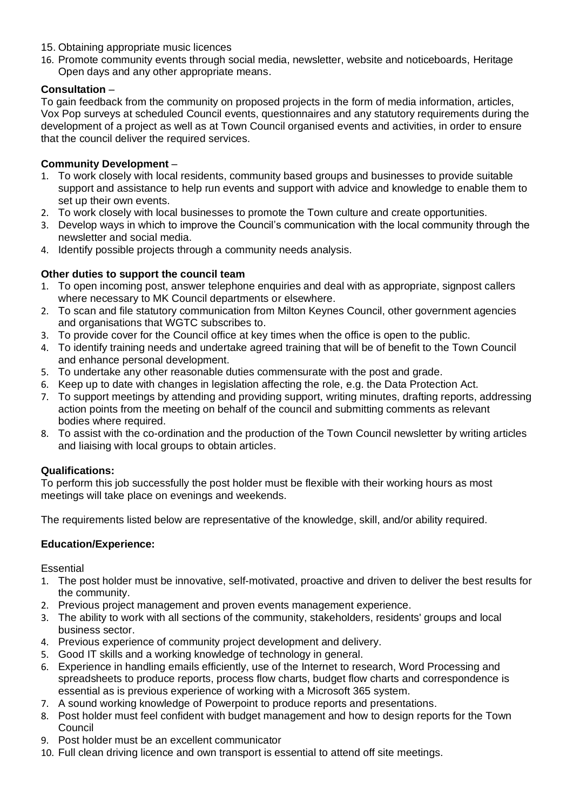- 15. Obtaining appropriate music licences
- 16. Promote community events through social media, newsletter, website and noticeboards, Heritage Open days and any other appropriate means.

### **Consultation** –

To gain feedback from the community on proposed projects in the form of media information, articles, Vox Pop surveys at scheduled Council events, questionnaires and any statutory requirements during the development of a project as well as at Town Council organised events and activities, in order to ensure that the council deliver the required services.

### **Community Development** –

- 1. To work closely with local residents, community based groups and businesses to provide suitable support and assistance to help run events and support with advice and knowledge to enable them to set up their own events.
- 2. To work closely with local businesses to promote the Town culture and create opportunities.
- 3. Develop ways in which to improve the Council's communication with the local community through the newsletter and social media.
- 4. Identify possible projects through a community needs analysis.

## **Other duties to support the council team**

- 1. To open incoming post, answer telephone enquiries and deal with as appropriate, signpost callers where necessary to MK Council departments or elsewhere.
- 2. To scan and file statutory communication from Milton Keynes Council, other government agencies and organisations that WGTC subscribes to.
- 3. To provide cover for the Council office at key times when the office is open to the public.
- 4. To identify training needs and undertake agreed training that will be of benefit to the Town Council and enhance personal development.
- 5. To undertake any other reasonable duties commensurate with the post and grade.
- 6. Keep up to date with changes in legislation affecting the role, e.g. the Data Protection Act.
- 7. To support meetings by attending and providing support, writing minutes, drafting reports, addressing action points from the meeting on behalf of the council and submitting comments as relevant bodies where required.
- 8. To assist with the co-ordination and the production of the Town Council newsletter by writing articles and liaising with local groups to obtain articles.

#### **Qualifications:**

To perform this job successfully the post holder must be flexible with their working hours as most meetings will take place on evenings and weekends.

The requirements listed below are representative of the knowledge, skill, and/or ability required.

#### **Education/Experience:**

**Essential** 

- 1. The post holder must be innovative, self-motivated, proactive and driven to deliver the best results for the community.
- 2. Previous project management and proven events management experience.
- 3. The ability to work with all sections of the community, stakeholders, residents' groups and local business sector.
- 4. Previous experience of community project development and delivery.
- 5. Good IT skills and a working knowledge of technology in general.
- 6. Experience in handling emails efficiently, use of the Internet to research, Word Processing and spreadsheets to produce reports, process flow charts, budget flow charts and correspondence is essential as is previous experience of working with a Microsoft 365 system.
- 7. A sound working knowledge of Powerpoint to produce reports and presentations.
- 8. Post holder must feel confident with budget management and how to design reports for the Town Council
- 9. Post holder must be an excellent communicator
- 10. Full clean driving licence and own transport is essential to attend off site meetings.